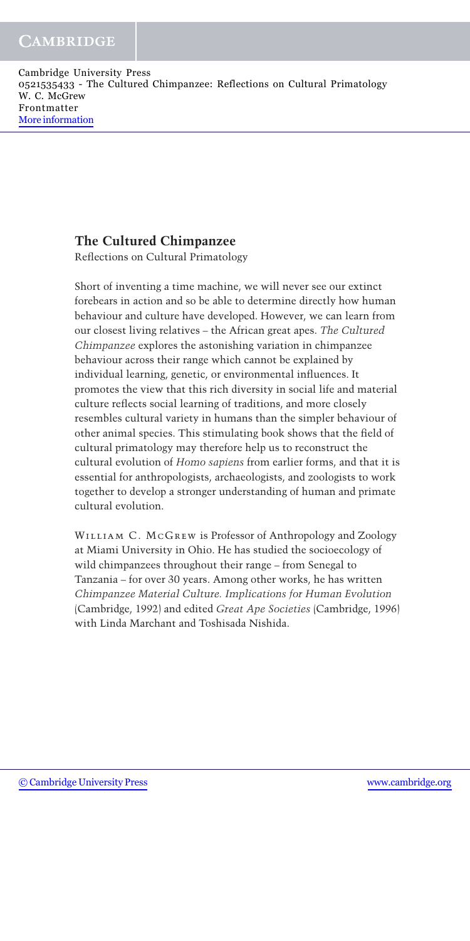### **The Cultured Chimpanzee**

Reflections on Cultural Primatology

Short of inventing a time machine, we will never see our extinct forebears in action and so be able to determine directly how human behaviour and culture have developed. However, we can learn from our closest living relatives – the African great apes. *The Cultured Chimpanzee* explores the astonishing variation in chimpanzee behaviour across their range which cannot be explained by individual learning, genetic, or environmental influences. It promotes the view that this rich diversity in social life and material culture reflects social learning of traditions, and more closely resembles cultural variety in humans than the simpler behaviour of other animal species. This stimulating book shows that the field of cultural primatology may therefore help us to reconstruct the cultural evolution of *Homo sapiens* from earlier forms, and that it is essential for anthropologists, archaeologists, and zoologists to work together to develop a stronger understanding of human and primate cultural evolution.

William C. McGrew is Professor of Anthropology and Zoology at Miami University in Ohio. He has studied the socioecology of wild chimpanzees throughout their range – from Senegal to Tanzania – for over 30 years. Among other works, he has written *Chimpanzee Material Culture. Implications for Human Evolution* (Cambridge, 1992) and edited *Great Ape Societies* (Cambridge, 1996) with Linda Marchant and Toshisada Nishida.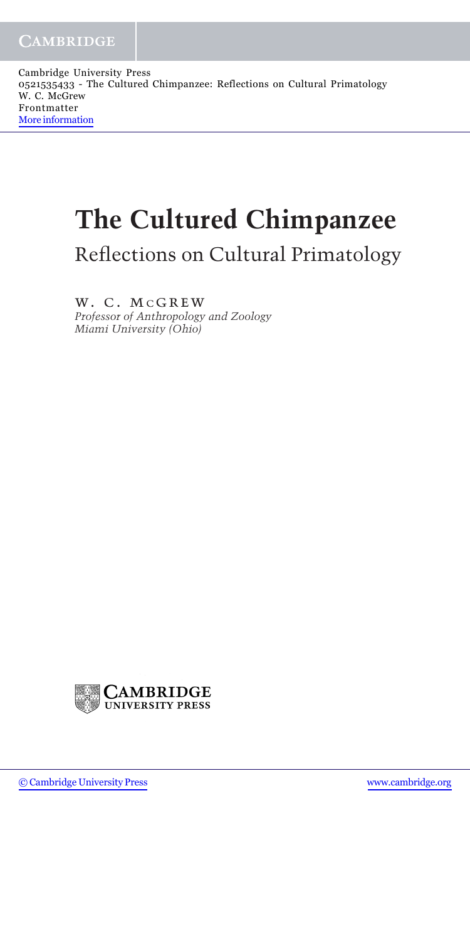# **The Cultured Chimpanzee**

Reflections on Cultural Primatology

w. c. mcgrew *Professor of Anthropology and Zoology Miami University (Ohio)*

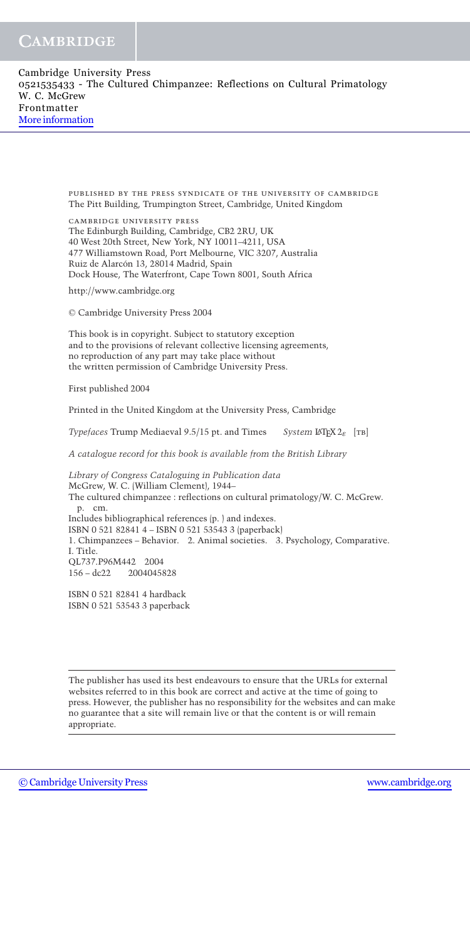### **CAMBRIDGE**

Cambridge University Press 0521535433 - The Cultured Chimpanzee: Reflections on Cultural Primatology W. C. McGrew Frontmatter [More information](http://www.cambridge.org/0521535433)

> published by the press syndicate of the university of cambridge The Pitt Building, Trumpington Street, Cambridge, United Kingdom

cambridge university press The Edinburgh Building, Cambridge, CB2 2RU, UK 40 West 20th Street, New York, NY 10011–4211, USA 477 Williamstown Road, Port Melbourne, VIC 3207, Australia Ruiz de Alarcón 13, 28014 Madrid, Spain Dock House, The Waterfront, Cape Town 8001, South Africa

http://www.cambridge.org

<sup>C</sup> Cambridge University Press 2004

This book is in copyright. Subject to statutory exception and to the provisions of relevant collective licensing agreements, no reproduction of any part may take place without the written permission of Cambridge University Press.

First published 2004

Printed in the United Kingdom at the University Press, Cambridge

*Typefaces* Trump Mediaeval 9.5/15 pt. and Times *System LATEX 2<sub>ε</sub>* [TB]

*A catalogue record for this book is available from the British Library*

*Library of Congress Cataloguing in Publication data* McGrew, W. C. (William Clement), 1944– The cultured chimpanzee : reflections on cultural primatology/W. C. McGrew. p. cm. Includes bibliographical references (p. ) and indexes. ISBN 0 521 82841 4 – ISBN 0 521 53543 3 (paperback) 1. Chimpanzees – Behavior. 2. Animal societies. 3. Psychology, Comparative. I. Title. QL737.P96M442 2004 156 – dc22 2004045828

ISBN 0 521 82841 4 hardback ISBN 0 521 53543 3 paperback

The publisher has used its best endeavours to ensure that the URLs for external websites referred to in this book are correct and active at the time of going to press. However, the publisher has no responsibility for the websites and can make no guarantee that a site will remain live or that the content is or will remain appropriate.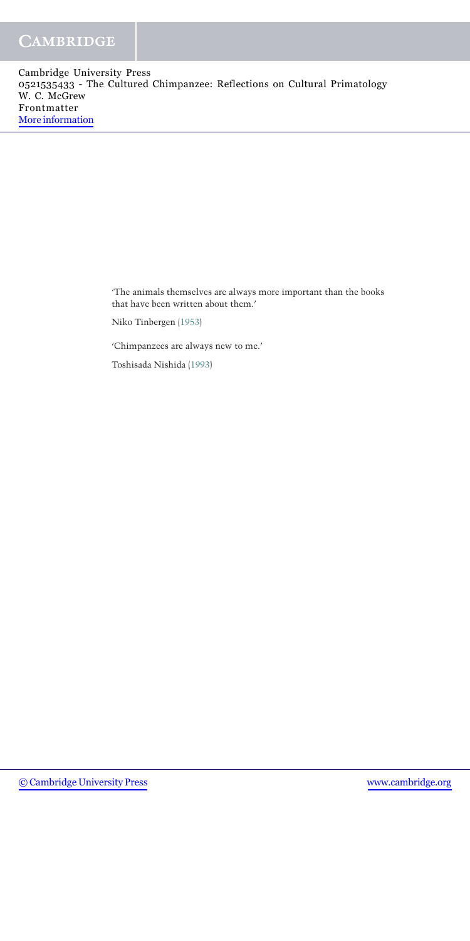> 'The animals themselves are always more important than the books that have been written about them.'

Niko Tinbergen (1953)

'Chimpanzees are always new to me.'

Toshisada Nishida (1993)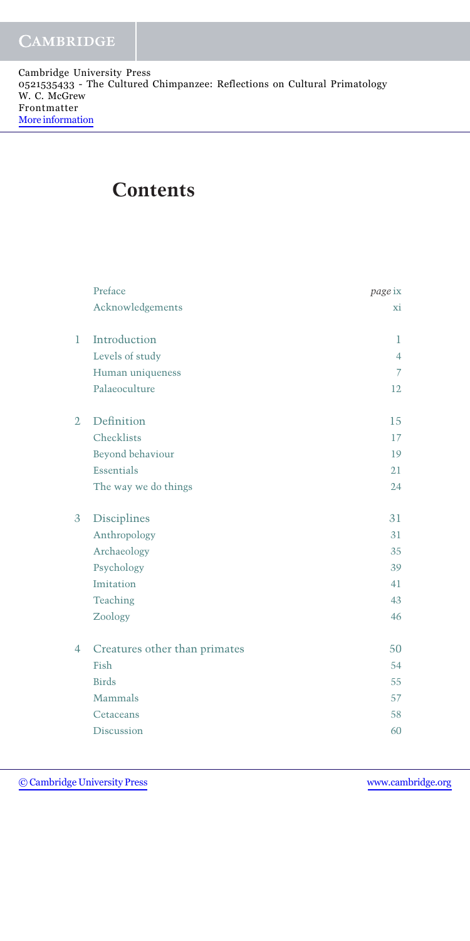## **Contents**

|                | Preface                       | page ix        |
|----------------|-------------------------------|----------------|
|                | Acknowledgements              | xi             |
| $\mathbf{1}$   | Introduction                  | 1              |
|                | Levels of study               | $\overline{4}$ |
|                | Human uniqueness              | $\overline{7}$ |
|                | Palaeoculture                 | 12             |
| $\overline{2}$ | Definition                    | 15             |
|                | Checklists                    | 17             |
|                | Beyond behaviour              | 19             |
|                | Essentials                    | 21             |
|                | The way we do things          | 24             |
| 3              | Disciplines                   | 31             |
|                | Anthropology                  | 31             |
|                | Archaeology                   | 35             |
|                | Psychology                    | 39             |
|                | Imitation                     | 41             |
|                | Teaching                      | 43             |
|                | Zoology                       | 46             |
| 4              | Creatures other than primates | 50             |
|                | Fish                          | 54             |
|                | <b>Birds</b>                  | 55             |
|                | Mammals                       | 57             |
|                | Cetaceans                     | 58             |
|                | Discussion                    | 60             |
|                |                               |                |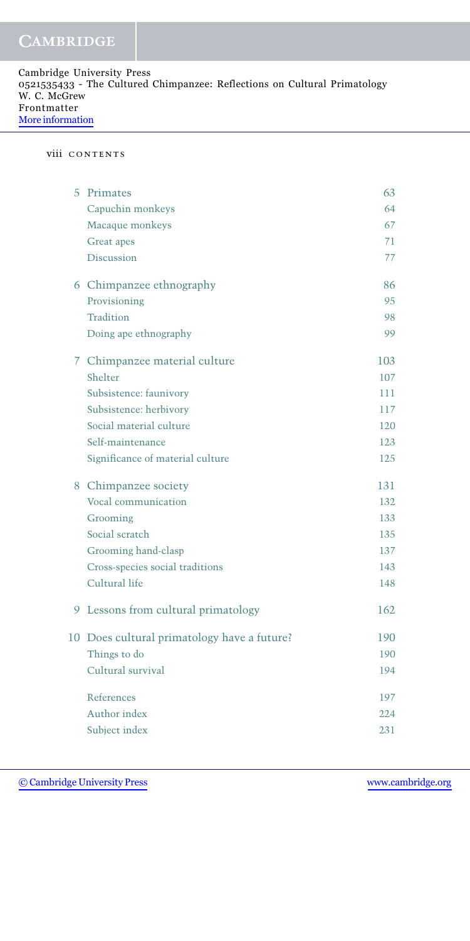### **CAMBRIDGE**

Cambridge University Press 0521535433 - The Cultured Chimpanzee: Reflections on Cultural Primatology W. C. McGrew Frontmatter [More information](http://www.cambridge.org/0521535433)

### viii contents

| 5  | Primates                                 | 63  |
|----|------------------------------------------|-----|
|    | Capuchin monkeys                         | 64  |
|    | Macaque monkeys                          | 67  |
|    | Great apes                               | 71  |
|    | Discussion                               | 77  |
|    | 6 Chimpanzee ethnography                 | 86  |
|    | Provisioning                             | 95  |
|    | Tradition                                | 98  |
|    | Doing ape ethnography                    | 99  |
|    | 7 Chimpanzee material culture            | 103 |
|    | Shelter                                  | 107 |
|    | Subsistence: faunivory                   | 111 |
|    | Subsistence: herbivory                   | 117 |
|    | Social material culture                  | 120 |
|    | Self-maintenance                         | 123 |
|    | Significance of material culture         | 125 |
| 8  | Chimpanzee society                       | 131 |
|    | Vocal communication                      | 132 |
|    | Grooming                                 | 133 |
|    | Social scratch                           | 135 |
|    | Grooming hand-clasp                      | 137 |
|    | Cross-species social traditions          | 143 |
|    | Cultural life                            | 148 |
|    | 9 Lessons from cultural primatology      | 162 |
| 10 | Does cultural primatology have a future? | 190 |
|    | Things to do                             | 190 |
|    | Cultural survival                        | 194 |
|    | References                               | 197 |
|    | Author index                             | 224 |
|    | Subject index                            | 231 |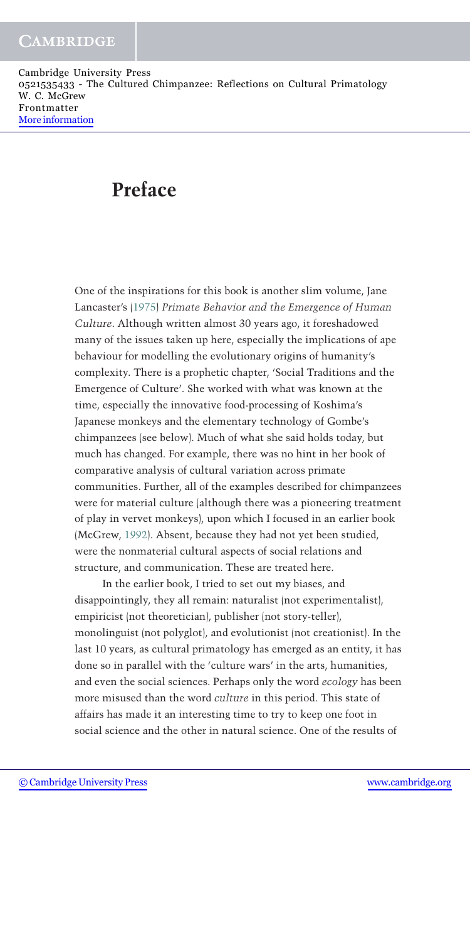# **Preface**

One of the inspirations for this book is another slim volume, Jane Lancaster's (1975) *Primate Behavior and the Emergence of Human Culture*. Although written almost 30 years ago, it foreshadowed many of the issues taken up here, especially the implications of ape behaviour for modelling the evolutionary origins of humanity's complexity. There is a prophetic chapter, 'Social Traditions and the Emergence of Culture'. She worked with what was known at the time, especially the innovative food-processing of Koshima's Japanese monkeys and the elementary technology of Gombe's chimpanzees (see below). Much of what she said holds today, but much has changed. For example, there was no hint in her book of comparative analysis of cultural variation across primate communities. Further, all of the examples described for chimpanzees were for material culture (although there was a pioneering treatment of play in vervet monkeys), upon which I focused in an earlier book (McGrew, 1992). Absent, because they had not yet been studied, were the nonmaterial cultural aspects of social relations and structure, and communication. These are treated here.

In the earlier book, I tried to set out my biases, and disappointingly, they all remain: naturalist (not experimentalist), empiricist (not theoretician), publisher (not story-teller), monolinguist (not polyglot), and evolutionist (not creationist). In the last 10 years, as cultural primatology has emerged as an entity, it has done so in parallel with the 'culture wars' in the arts, humanities, and even the social sciences. Perhaps only the word *ecology* has been more misused than the word *culture* in this period. This state of affairs has made it an interesting time to try to keep one foot in social science and the other in natural science. One of the results of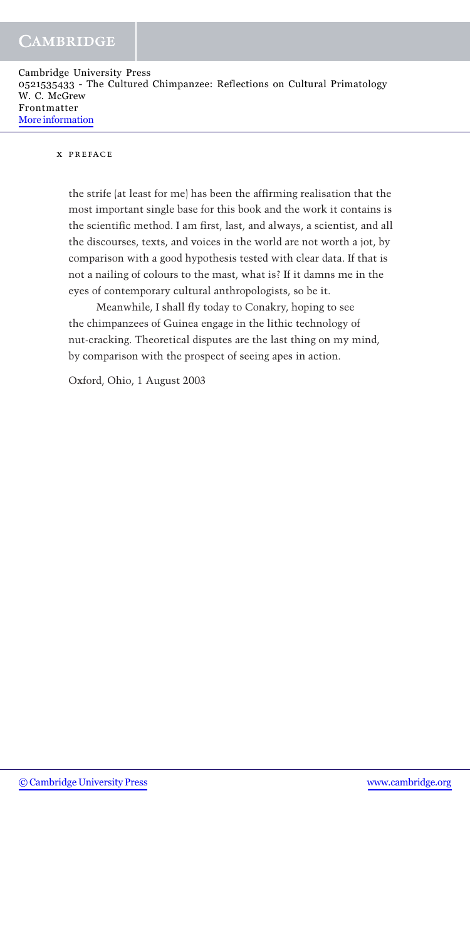#### x preface

the strife (at least for me) has been the affirming realisation that the most important single base for this book and the work it contains is the scientific method. I am first, last, and always, a scientist, and all the discourses, texts, and voices in the world are not worth a jot, by comparison with a good hypothesis tested with clear data. If that is not a nailing of colours to the mast, what is? If it damns me in the eyes of contemporary cultural anthropologists, so be it.

Meanwhile, I shall fly today to Conakry, hoping to see the chimpanzees of Guinea engage in the lithic technology of nut-cracking. Theoretical disputes are the last thing on my mind, by comparison with the prospect of seeing apes in action.

Oxford, Ohio, 1 August 2003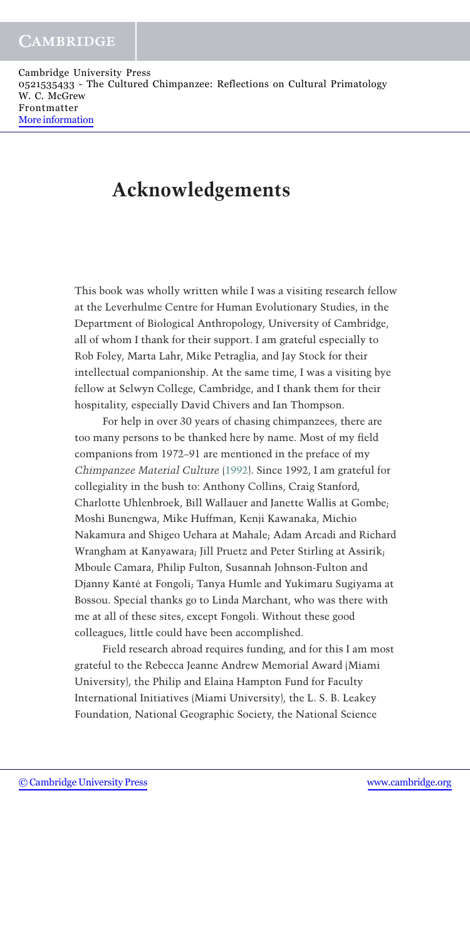# **Acknowledgements**

This book was wholly written while I was a visiting research fellow at the Leverhulme Centre for Human Evolutionary Studies, in the Department of Biological Anthropology, University of Cambridge, all of whom I thank for their support. I am grateful especially to Rob Foley, Marta Lahr, Mike Petraglia, and Jay Stock for their intellectual companionship. At the same time, I was a visiting bye fellow at Selwyn College, Cambridge, and I thank them for their hospitality, especially David Chivers and Ian Thompson.

For help in over 30 years of chasing chimpanzees, there are too many persons to be thanked here by name. Most of my field companions from 1972–91 are mentioned in the preface of my *Chimpanzee Material Culture* (1992). Since 1992, I am grateful for collegiality in the bush to: Anthony Collins, Craig Stanford, Charlotte Uhlenbroek, Bill Wallauer and Janette Wallis at Gombe; Moshi Bunengwa, Mike Huffman, Kenji Kawanaka, Michio Nakamura and Shigeo Uehara at Mahale; Adam Arcadi and Richard Wrangham at Kanyawara; Jill Pruetz and Peter Stirling at Assirik; Mboule Camara, Philip Fulton, Susannah Johnson-Fulton and Djanny Kanté at Fongoli; Tanya Humle and Yukimaru Sugiyama at Bossou. Special thanks go to Linda Marchant, who was there with me at all of these sites, except Fongoli. Without these good colleagues, little could have been accomplished.

Field research abroad requires funding, and for this I am most grateful to the Rebecca Jeanne Andrew Memorial Award (Miami University), the Philip and Elaina Hampton Fund for Faculty International Initiatives (Miami University), the L. S. B. Leakey Foundation, National Geographic Society, the National Science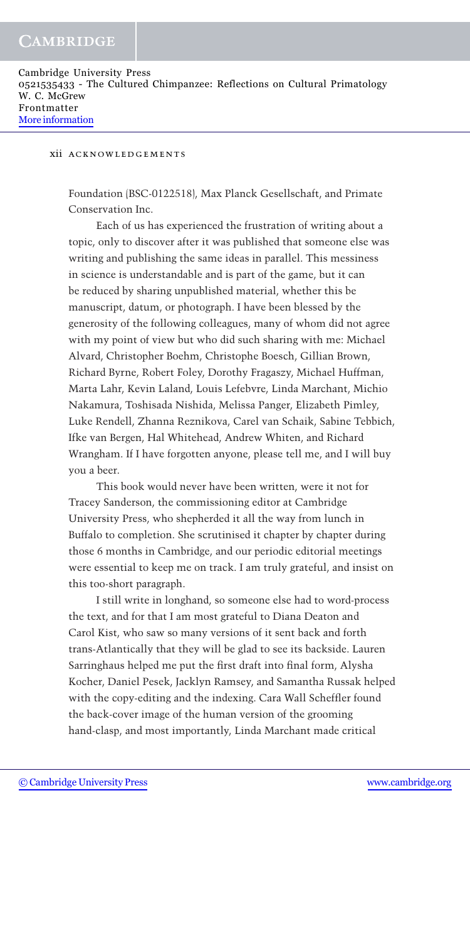#### xii acknowledgements

Foundation (BSC-0122518), Max Planck Gesellschaft, and Primate Conservation Inc.

Each of us has experienced the frustration of writing about a topic, only to discover after it was published that someone else was writing and publishing the same ideas in parallel. This messiness in science is understandable and is part of the game, but it can be reduced by sharing unpublished material, whether this be manuscript, datum, or photograph. I have been blessed by the generosity of the following colleagues, many of whom did not agree with my point of view but who did such sharing with me: Michael Alvard, Christopher Boehm, Christophe Boesch, Gillian Brown, Richard Byrne, Robert Foley, Dorothy Fragaszy, Michael Huffman, Marta Lahr, Kevin Laland, Louis Lefebvre, Linda Marchant, Michio Nakamura, Toshisada Nishida, Melissa Panger, Elizabeth Pimley, Luke Rendell, Zhanna Reznikova, Carel van Schaik, Sabine Tebbich, Ifke van Bergen, Hal Whitehead, Andrew Whiten, and Richard Wrangham. If I have forgotten anyone, please tell me, and I will buy you a beer.

This book would never have been written, were it not for Tracey Sanderson, the commissioning editor at Cambridge University Press, who shepherded it all the way from lunch in Buffalo to completion. She scrutinised it chapter by chapter during those 6 months in Cambridge, and our periodic editorial meetings were essential to keep me on track. I am truly grateful, and insist on this too-short paragraph.

I still write in longhand, so someone else had to word-process the text, and for that I am most grateful to Diana Deaton and Carol Kist, who saw so many versions of it sent back and forth trans-Atlantically that they will be glad to see its backside. Lauren Sarringhaus helped me put the first draft into final form, Alysha Kocher, Daniel Pesek, Jacklyn Ramsey, and Samantha Russak helped with the copy-editing and the indexing. Cara Wall Scheffler found the back-cover image of the human version of the grooming hand-clasp, and most importantly, Linda Marchant made critical